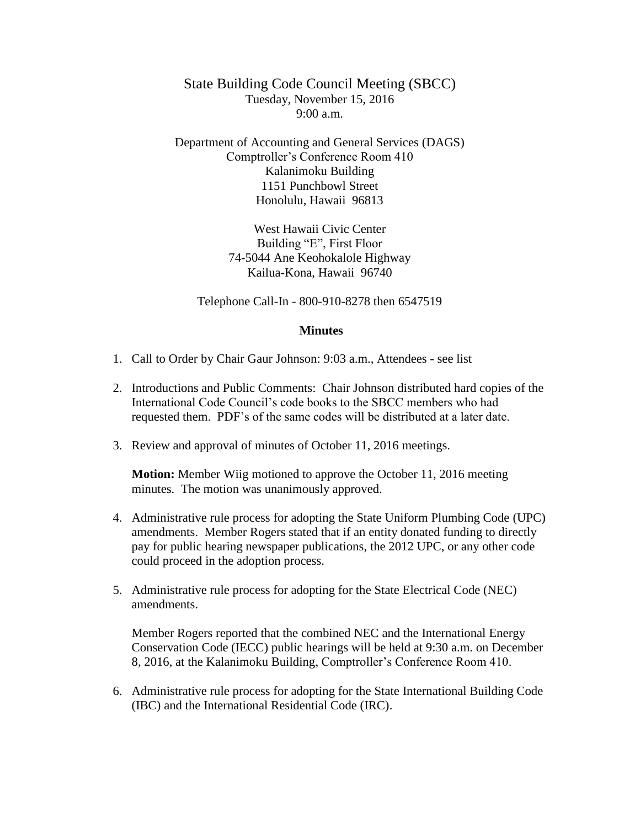State Building Code Council Meeting (SBCC) Tuesday, November 15, 2016  $9:00 a.m.$ 

Department of Accounting and General Services (DAGS) Comptroller's Conference Room 410 Kalanimoku Building 1151 Punchbowl Street Honolulu, Hawaii 96813

> West Hawaii Civic Center Building "E", First Floor 74-5044 Ane Keohokalole Highway Kailua-Kona, Hawaii 96740

Telephone Call-In - 800-910-8278 then 6547519

## **Minutes**

- 1. Call to Order by Chair Gaur Johnson: 9:03 a.m., Attendees see list
- 2. Introductions and Public Comments: Chair Johnson distributed hard copies of the International Code Council's code books to the SBCC members who had requested them. PDF's of the same codes will be distributed at a later date.
- 3. Review and approval of minutes of October 11, 2016 meetings.

**Motion:** Member Wiig motioned to approve the October 11, 2016 meeting minutes. The motion was unanimously approved.

- 4. Administrative rule process for adopting the State Uniform Plumbing Code (UPC) amendments. Member Rogers stated that if an entity donated funding to directly pay for public hearing newspaper publications, the 2012 UPC, or any other code could proceed in the adoption process.
- 5. Administrative rule process for adopting for the State Electrical Code (NEC) amendments.

Member Rogers reported that the combined NEC and the International Energy Conservation Code (IECC) public hearings will be held at 9:30 a.m. on December 8, 2016, at the Kalanimoku Building, Comptroller's Conference Room 410.

6. Administrative rule process for adopting for the State International Building Code (IBC) and the International Residential Code (IRC).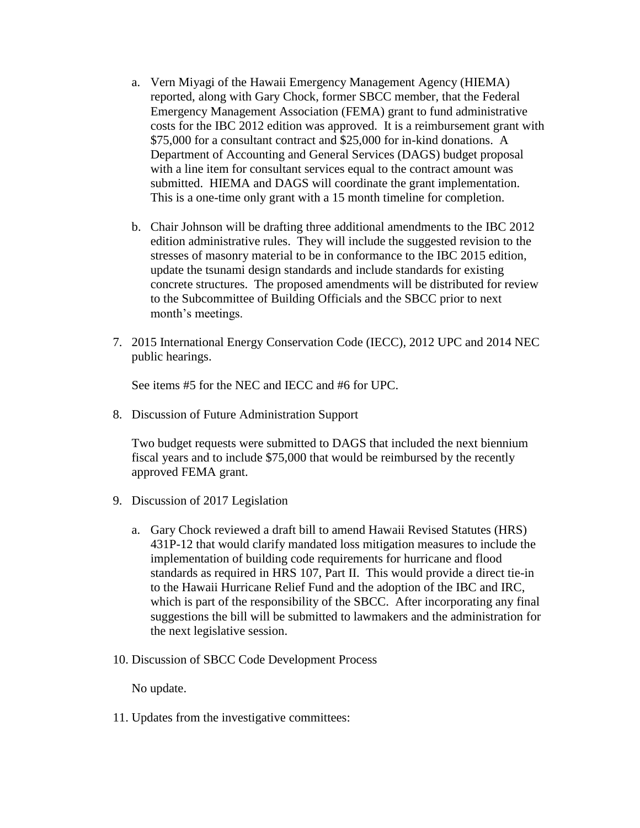- a. Vern Miyagi of the Hawaii Emergency Management Agency (HIEMA) reported, along with Gary Chock, former SBCC member, that the Federal Emergency Management Association (FEMA) grant to fund administrative costs for the IBC 2012 edition was approved. It is a reimbursement grant with \$75,000 for a consultant contract and \$25,000 for in-kind donations. A Department of Accounting and General Services (DAGS) budget proposal with a line item for consultant services equal to the contract amount was submitted. HIEMA and DAGS will coordinate the grant implementation. This is a one-time only grant with a 15 month timeline for completion.
- b. Chair Johnson will be drafting three additional amendments to the IBC 2012 edition administrative rules. They will include the suggested revision to the stresses of masonry material to be in conformance to the IBC 2015 edition, update the tsunami design standards and include standards for existing concrete structures. The proposed amendments will be distributed for review to the Subcommittee of Building Officials and the SBCC prior to next month's meetings.
- 7. 2015 International Energy Conservation Code (IECC), 2012 UPC and 2014 NEC public hearings.

See items #5 for the NEC and IECC and #6 for UPC.

8. Discussion of Future Administration Support

Two budget requests were submitted to DAGS that included the next biennium fiscal years and to include \$75,000 that would be reimbursed by the recently approved FEMA grant.

- 9. Discussion of 2017 Legislation
	- a. Gary Chock reviewed a draft bill to amend Hawaii Revised Statutes (HRS) 431P-12 that would clarify mandated loss mitigation measures to include the implementation of building code requirements for hurricane and flood standards as required in HRS 107, Part II. This would provide a direct tie-in to the Hawaii Hurricane Relief Fund and the adoption of the IBC and IRC, which is part of the responsibility of the SBCC. After incorporating any final suggestions the bill will be submitted to lawmakers and the administration for the next legislative session.
- 10. Discussion of SBCC Code Development Process

No update.

11. Updates from the investigative committees: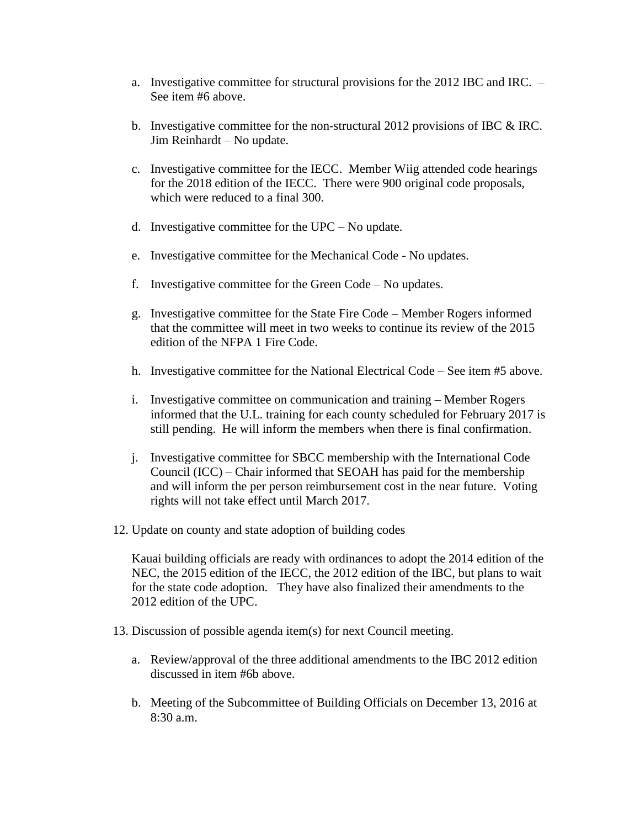- a. Investigative committee for structural provisions for the 2012 IBC and IRC. See item #6 above.
- b. Investigative committee for the non-structural 2012 provisions of IBC & IRC. Jim Reinhardt – No update.
- c. Investigative committee for the IECC. Member Wiig attended code hearings for the 2018 edition of the IECC. There were 900 original code proposals, which were reduced to a final 300.
- d. Investigative committee for the UPC No update.
- e. Investigative committee for the Mechanical Code No updates.
- f. Investigative committee for the Green Code No updates.
- g. Investigative committee for the State Fire Code Member Rogers informed that the committee will meet in two weeks to continue its review of the 2015 edition of the NFPA 1 Fire Code.
- h. Investigative committee for the National Electrical Code See item #5 above.
- i. Investigative committee on communication and training Member Rogers informed that the U.L. training for each county scheduled for February 2017 is still pending. He will inform the members when there is final confirmation.
- j. Investigative committee for SBCC membership with the International Code Council (ICC) – Chair informed that SEOAH has paid for the membership and will inform the per person reimbursement cost in the near future. Voting rights will not take effect until March 2017.
- 12. Update on county and state adoption of building codes

Kauai building officials are ready with ordinances to adopt the 2014 edition of the NEC, the 2015 edition of the IECC, the 2012 edition of the IBC, but plans to wait for the state code adoption. They have also finalized their amendments to the 2012 edition of the UPC.

- 13. Discussion of possible agenda item(s) for next Council meeting.
	- a. Review/approval of the three additional amendments to the IBC 2012 edition discussed in item #6b above.
	- b. Meeting of the Subcommittee of Building Officials on December 13, 2016 at 8:30 a.m.